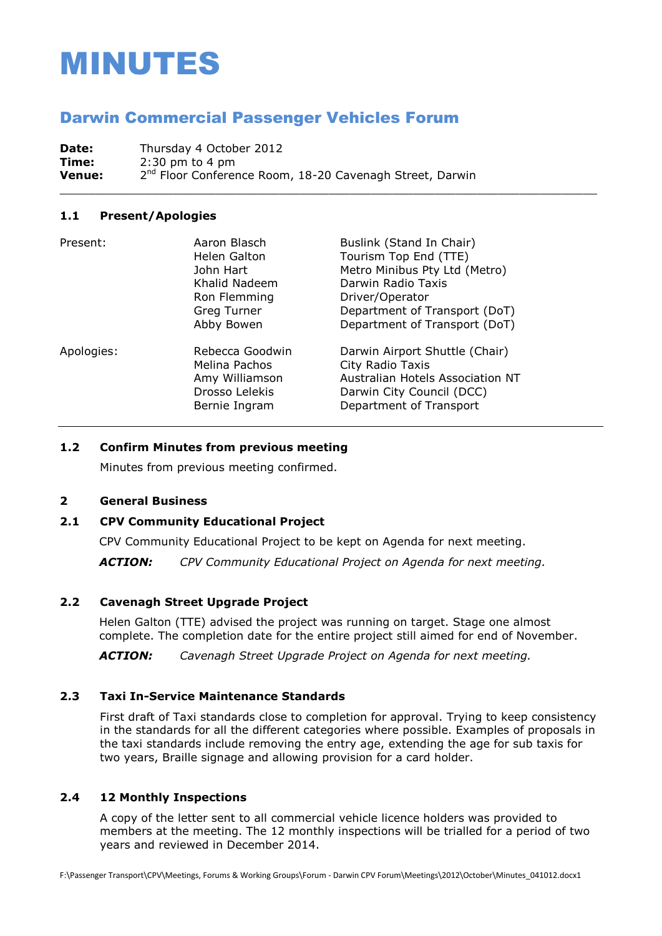# MINUTES

# Darwin Commercial Passenger Vehicles Forum

**Date:** Thursday 4 October 2012 **Time:** 2:30 pm to 4 pm **Venue:** 2 2<sup>nd</sup> Floor Conference Room, 18-20 Cavenagh Street, Darwin

#### **1.1 Present/Apologies**

| Present:   | Aaron Blasch<br>Helen Galton<br>John Hart<br>Khalid Nadeem<br>Ron Flemming<br>Greg Turner<br>Abby Bowen | Buslink (Stand In Chair)<br>Tourism Top End (TTE)<br>Metro Minibus Pty Ltd (Metro)<br>Darwin Radio Taxis<br>Driver/Operator<br>Department of Transport (DoT)<br>Department of Transport (DoT) |
|------------|---------------------------------------------------------------------------------------------------------|-----------------------------------------------------------------------------------------------------------------------------------------------------------------------------------------------|
| Apologies: | Rebecca Goodwin<br>Melina Pachos<br>Amy Williamson<br>Drosso Lelekis<br>Bernie Ingram                   | Darwin Airport Shuttle (Chair)<br>City Radio Taxis<br>Australian Hotels Association NT<br>Darwin City Council (DCC)<br>Department of Transport                                                |

\_\_\_\_\_\_\_\_\_\_\_\_\_\_\_\_\_\_\_\_\_\_\_\_\_\_\_\_\_\_\_\_\_\_\_\_\_\_\_\_\_\_\_\_\_\_\_\_\_\_\_\_\_\_\_\_\_\_\_\_\_\_\_\_\_\_\_\_\_\_\_\_\_\_\_\_

### **1.2 Confirm Minutes from previous meeting**

Minutes from previous meeting confirmed.

## **2 General Business**

### **2.1 CPV Community Educational Project**

CPV Community Educational Project to be kept on Agenda for next meeting.

*ACTION: CPV Community Educational Project on Agenda for next meeting.*

### **2.2 Cavenagh Street Upgrade Project**

Helen Galton (TTE) advised the project was running on target. Stage one almost complete. The completion date for the entire project still aimed for end of November.

*ACTION: Cavenagh Street Upgrade Project on Agenda for next meeting.*

### **2.3 Taxi In-Service Maintenance Standards**

First draft of Taxi standards close to completion for approval. Trying to keep consistency in the standards for all the different categories where possible. Examples of proposals in the taxi standards include removing the entry age, extending the age for sub taxis for two years, Braille signage and allowing provision for a card holder.

## **2.4 12 Monthly Inspections**

A copy of the letter sent to all commercial vehicle licence holders was provided to members at the meeting. The 12 monthly inspections will be trialled for a period of two years and reviewed in December 2014.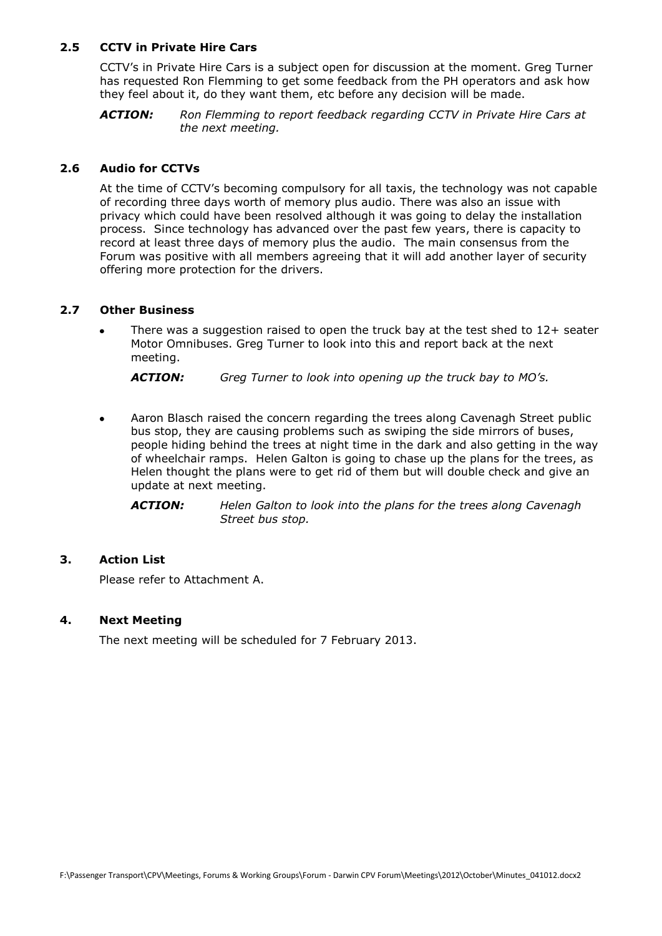#### **2.5 CCTV in Private Hire Cars**

CCTV's in Private Hire Cars is a subject open for discussion at the moment. Greg Turner has requested Ron Flemming to get some feedback from the PH operators and ask how they feel about it, do they want them, etc before any decision will be made.

*ACTION: Ron Flemming to report feedback regarding CCTV in Private Hire Cars at the next meeting.*

#### **2.6 Audio for CCTVs**

At the time of CCTV's becoming compulsory for all taxis, the technology was not capable of recording three days worth of memory plus audio. There was also an issue with privacy which could have been resolved although it was going to delay the installation process. Since technology has advanced over the past few years, there is capacity to record at least three days of memory plus the audio. The main consensus from the Forum was positive with all members agreeing that it will add another layer of security offering more protection for the drivers.

#### **2.7 Other Business**

There was a suggestion raised to open the truck bay at the test shed to  $12+$  seater Motor Omnibuses. Greg Turner to look into this and report back at the next meeting.

*ACTION: Greg Turner to look into opening up the truck bay to MO's.*

Aaron Blasch raised the concern regarding the trees along Cavenagh Street public  $\bullet$ bus stop, they are causing problems such as swiping the side mirrors of buses, people hiding behind the trees at night time in the dark and also getting in the way of wheelchair ramps. Helen Galton is going to chase up the plans for the trees, as Helen thought the plans were to get rid of them but will double check and give an update at next meeting.

*ACTION: Helen Galton to look into the plans for the trees along Cavenagh Street bus stop.*

### **3. Action List**

Please refer to Attachment A.

#### **4. Next Meeting**

The next meeting will be scheduled for 7 February 2013.